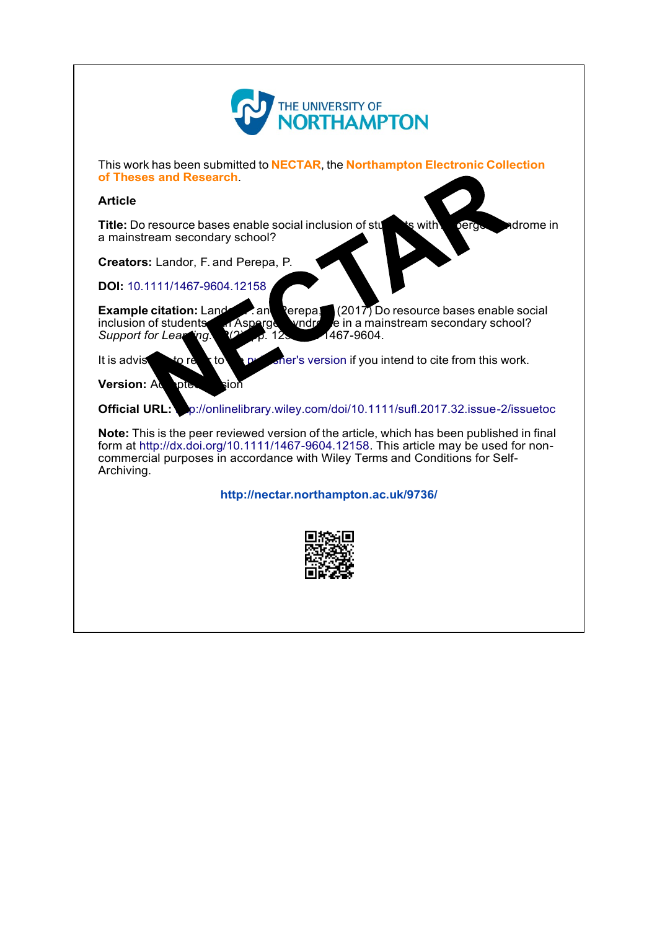

This work has been submitted to **NECTAR**, the **Northampton Electronic Collection of Theses and Research**.

#### **Article**

**Title:** Do resource bases enable social inclusion of students with **Asperger syndrome in** a mainstream secondary school?

**Creators:** Landor, F. and Perepa, P.

**DOI:** [10.1111/1467-9604.12158](http://dx.doi.org/10.1111/1467-9604.12158)

**Example citation:** Landor, F. and Perepa, (2017) Do resource bases enable social inclusion of students and Asperged vindig e in a mainstream secondary school? inclusion of students with Asperger video in a mainstream secondary school?<br>ing. (2) p. 12 **Support for Learning. 3(2)**, p. 129

It is advised to refer to the [publisher's](http://dx.doi.org/10.1111/1467-9604.12158) version if you intend to cite from this work.

**Version: Accepted version** 

**Official URL:** p://onlinelibrary.wiley.com/doi/10.1111/sufl.2017.32.issue-2/issuetoc

**Note:** This is the peer reviewed version of the article, which has been published in final form at [http://dx.doi.org/10.1111/1467-9604.12158.](http://dx.doi.org/10.1111/1467-9604.12158) This article may be used for noncommercial purposes in accordance with Wiley Terms and Conditions for Self-Archiving.

**<http://nectar.northampton.ac.uk/9736/>**

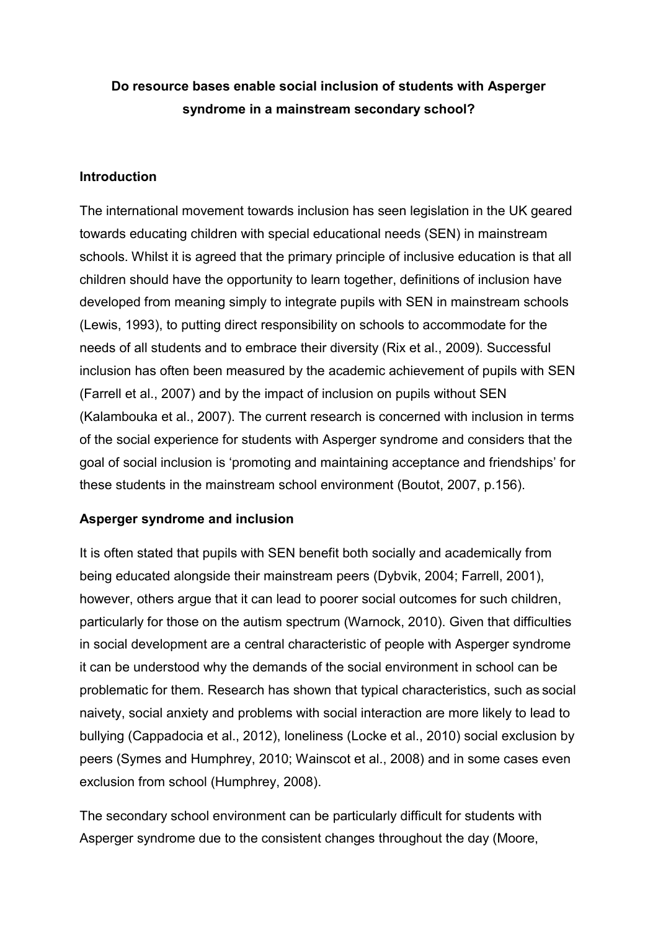# **Do resource bases enable social inclusion of students with Asperger syndrome in a mainstream secondary school?**

### **Introduction**

The international movement towards inclusion has seen legislation in the UK geared towards educating children with special educational needs (SEN) in mainstream schools. Whilst it is agreed that the primary principle of inclusive education is that all children should have the opportunity to learn together, definitions of inclusion have developed from meaning simply to integrate pupils with SEN in mainstream schools (Lewis, 1993), to putting direct responsibility on schools to accommodate for the needs of all students and to embrace their diversity (Rix et al., 2009). Successful inclusion has often been measured by the academic achievement of pupils with SEN (Farrell et al., 2007) and by the impact of inclusion on pupils without SEN (Kalambouka et al., 2007). The current research is concerned with inclusion in terms of the social experience for students with Asperger syndrome and considers that the goal of social inclusion is 'promoting and maintaining acceptance and friendships' for these students in the mainstream school environment (Boutot, 2007, p.156).

# **Asperger syndrome and inclusion**

It is often stated that pupils with SEN benefit both socially and academically from being educated alongside their mainstream peers (Dybvik, 2004; Farrell, 2001), however, others argue that it can lead to poorer social outcomes for such children, particularly for those on the autism spectrum (Warnock, 2010). Given that difficulties in social development are a central characteristic of people with Asperger syndrome it can be understood why the demands of the social environment in school can be problematic for them. Research has shown that typical characteristics, such as social naivety, social anxiety and problems with social interaction are more likely to lead to bullying (Cappadocia et al., 2012), loneliness (Locke et al., 2010) social exclusion by peers (Symes and Humphrey, 2010; Wainscot et al., 2008) and in some cases even exclusion from school (Humphrey, 2008).

The secondary school environment can be particularly difficult for students with Asperger syndrome due to the consistent changes throughout the day (Moore,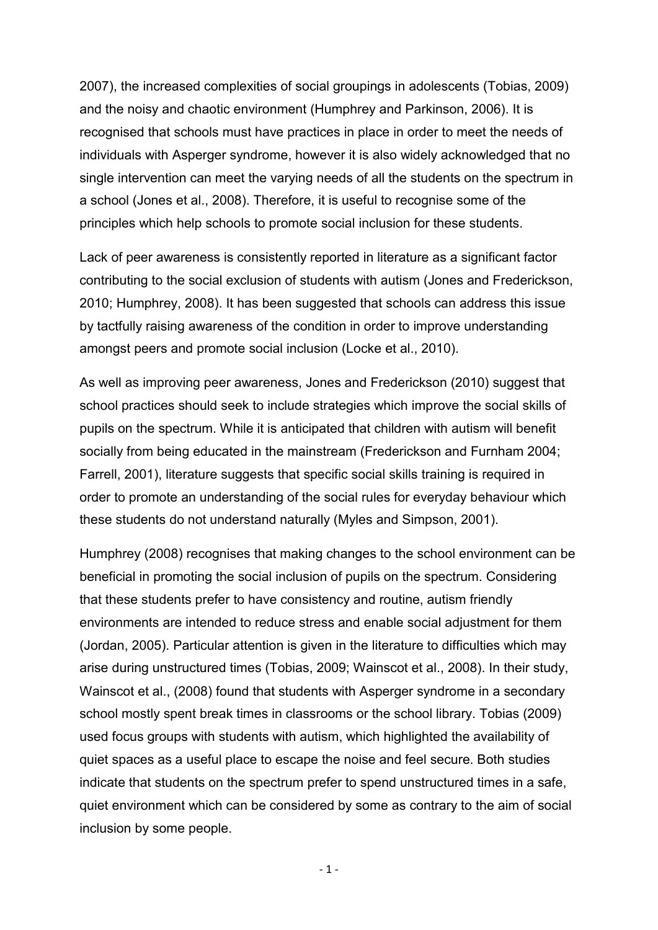2007), the increased complexities of social groupings in adolescents (Tobias, 2009) and the noisy and chaotic environment (Humphrey and Parkinson, 2006). It is recognised that schools must have practices in place in order to meet the needs of individuals with Asperger syndrome, however it is also widely acknowledged that no single intervention can meet the varying needs of all the students on the spectrum in a school (Jones et al., 2008). Therefore, it is useful to recognise some of the principles which help schools to promote social inclusion for these students.

Lack of peer awareness is consistently reported in literature as a significant factor contributing to the social exclusion of students with autism (Jones and Frederickson, 2010; Humphrey, 2008). It has been suggested that schools can address this issue by tactfully raising awareness of the condition in order to improve understanding amongst peers and promote social inclusion (Locke et al., 2010).

As well as improving peer awareness, Jones and Frederickson (2010) suggest that school practices should seek to include strategies which improve the social skills of pupils on the spectrum. While it is anticipated that children with autism will benefit socially from being educated in the mainstream (Frederickson and Furnham 2004; Farrell, 2001), literature suggests that specific social skills training is required in order to promote an understanding of the social rules for everyday behaviour which these students do not understand naturally (Myles and Simpson, 2001).

Humphrey (2008) recognises that making changes to the school environment can be beneficial in promoting the social inclusion of pupils on the spectrum. Considering that these students prefer to have consistency and routine, autism friendly environments are intended to reduce stress and enable social adjustment for them (Jordan, 2005). Particular attention is given in the literature to difficulties which may arise during unstructured times (Tobias, 2009; Wainscot et al., 2008). In their study, Wainscot et al., (2008) found that students with Asperger syndrome in a secondary school mostly spent break times in classrooms or the school library. Tobias (2009) used focus groups with students with autism, which highlighted the availability of quiet spaces as a useful place to escape the noise and feel secure. Both studies indicate that students on the spectrum prefer to spend unstructured times in a safe, quiet environment which can be considered by some as contrary to the aim of social inclusion by some people.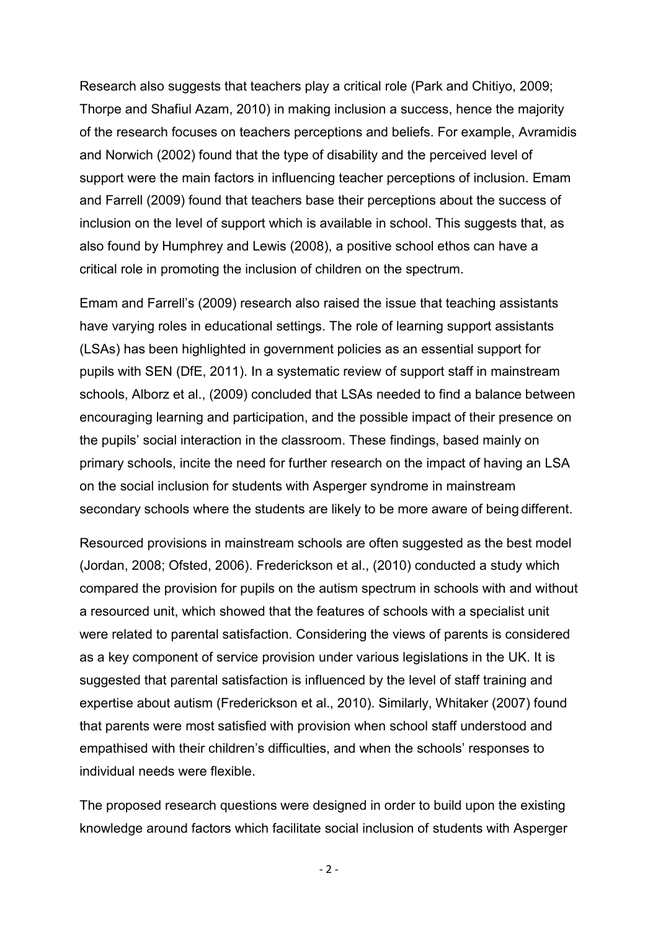Research also suggests that teachers play a critical role (Park and Chitiyo, 2009; Thorpe and Shafiul Azam, 2010) in making inclusion a success, hence the majority of the research focuses on teachers perceptions and beliefs. For example, Avramidis and Norwich (2002) found that the type of disability and the perceived level of support were the main factors in influencing teacher perceptions of inclusion. Emam and Farrell (2009) found that teachers base their perceptions about the success of inclusion on the level of support which is available in school. This suggests that, as also found by Humphrey and Lewis (2008), a positive school ethos can have a critical role in promoting the inclusion of children on the spectrum.

Emam and Farrell's (2009) research also raised the issue that teaching assistants have varying roles in educational settings. The role of learning support assistants (LSAs) has been highlighted in government policies as an essential support for pupils with SEN (DfE, 2011). In a systematic review of support staff in mainstream schools, Alborz et al., (2009) concluded that LSAs needed to find a balance between encouraging learning and participation, and the possible impact of their presence on the pupils' social interaction in the classroom. These findings, based mainly on primary schools, incite the need for further research on the impact of having an LSA on the social inclusion for students with Asperger syndrome in mainstream secondary schools where the students are likely to be more aware of being different.

Resourced provisions in mainstream schools are often suggested as the best model (Jordan, 2008; Ofsted, 2006). Frederickson et al., (2010) conducted a study which compared the provision for pupils on the autism spectrum in schools with and without a resourced unit, which showed that the features of schools with a specialist unit were related to parental satisfaction. Considering the views of parents is considered as a key component of service provision under various legislations in the UK. It is suggested that parental satisfaction is influenced by the level of staff training and expertise about autism (Frederickson et al., 2010). Similarly, Whitaker (2007) found that parents were most satisfied with provision when school staff understood and empathised with their children's difficulties, and when the schools' responses to individual needs were flexible.

The proposed research questions were designed in order to build upon the existing knowledge around factors which facilitate social inclusion of students with Asperger

- 2 -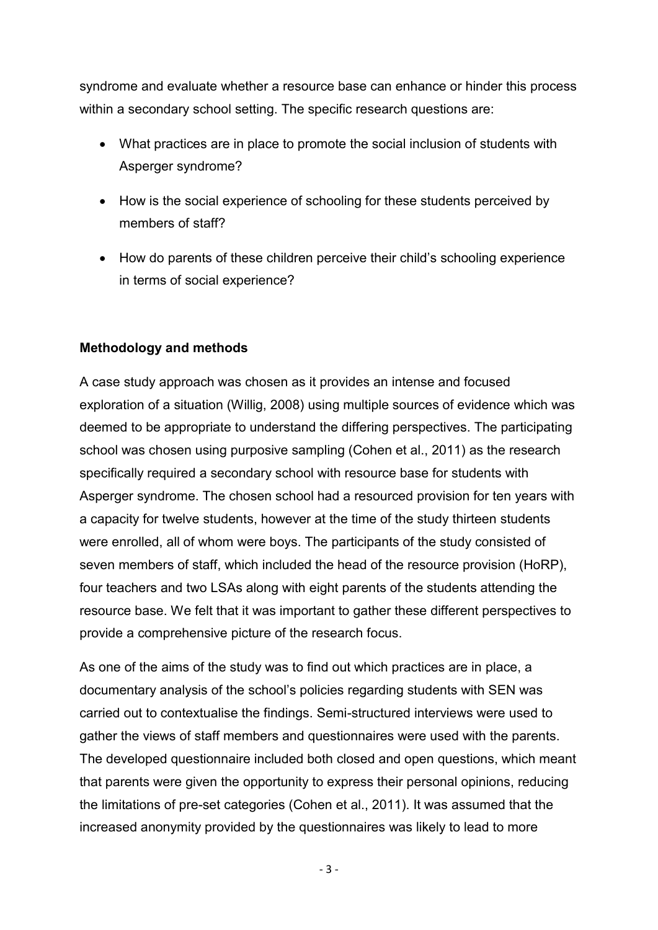syndrome and evaluate whether a resource base can enhance or hinder this process within a secondary school setting. The specific research questions are:

- What practices are in place to promote the social inclusion of students with Asperger syndrome?
- How is the social experience of schooling for these students perceived by members of staff?
- How do parents of these children perceive their child's schooling experience in terms of social experience?

#### **Methodology and methods**

A case study approach was chosen as it provides an intense and focused exploration of a situation (Willig, 2008) using multiple sources of evidence which was deemed to be appropriate to understand the differing perspectives. The participating school was chosen using purposive sampling (Cohen et al., 2011) as the research specifically required a secondary school with resource base for students with Asperger syndrome. The chosen school had a resourced provision for ten years with a capacity for twelve students, however at the time of the study thirteen students were enrolled, all of whom were boys. The participants of the study consisted of seven members of staff, which included the head of the resource provision (HoRP), four teachers and two LSAs along with eight parents of the students attending the resource base. We felt that it was important to gather these different perspectives to provide a comprehensive picture of the research focus.

As one of the aims of the study was to find out which practices are in place, a documentary analysis of the school's policies regarding students with SEN was carried out to contextualise the findings. Semi-structured interviews were used to gather the views of staff members and questionnaires were used with the parents. The developed questionnaire included both closed and open questions, which meant that parents were given the opportunity to express their personal opinions, reducing the limitations of pre-set categories (Cohen et al., 2011). It was assumed that the increased anonymity provided by the questionnaires was likely to lead to more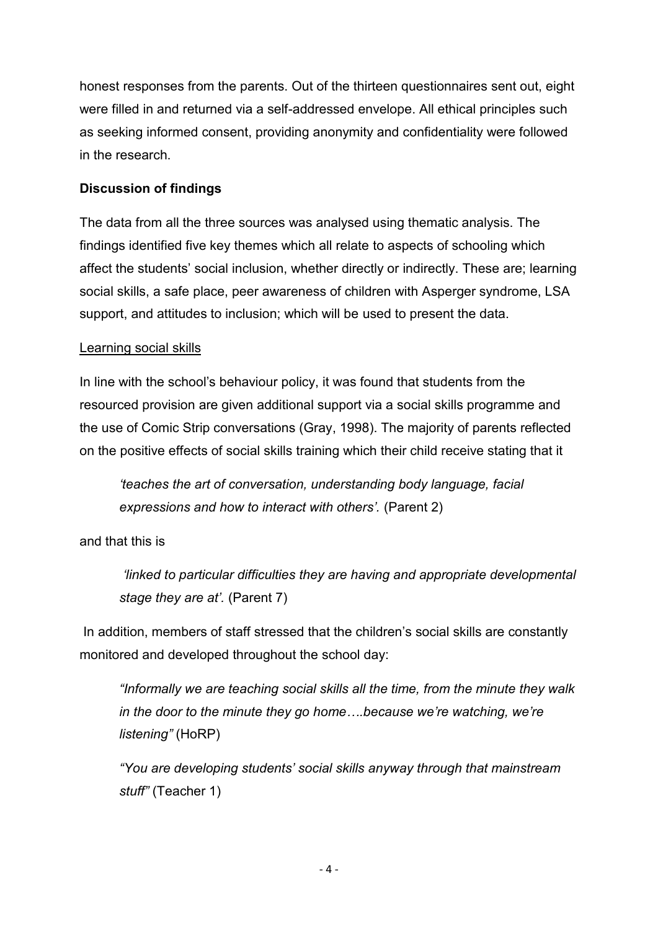honest responses from the parents. Out of the thirteen questionnaires sent out, eight were filled in and returned via a self-addressed envelope. All ethical principles such as seeking informed consent, providing anonymity and confidentiality were followed in the research.

# **Discussion of findings**

The data from all the three sources was analysed using thematic analysis. The findings identified five key themes which all relate to aspects of schooling which affect the students' social inclusion, whether directly or indirectly. These are; learning social skills, a safe place, peer awareness of children with Asperger syndrome, LSA support, and attitudes to inclusion; which will be used to present the data.

#### Learning social skills

In line with the school's behaviour policy, it was found that students from the resourced provision are given additional support via a social skills programme and the use of Comic Strip conversations (Gray, 1998). The majority of parents reflected on the positive effects of social skills training which their child receive stating that it

*'teaches the art of conversation, understanding body language, facial expressions and how to interact with others'.* (Parent 2)

and that this is

*'linked to particular difficulties they are having and appropriate developmental stage they are at'.* (Parent 7)

In addition, members of staff stressed that the children's social skills are constantly monitored and developed throughout the school day:

*"Informally we are teaching social skills all the time, from the minute they walk in the door to the minute they go home….because we're watching, we're listening"* (HoRP)

*"You are developing students' social skills anyway through that mainstream stuff"* (Teacher 1)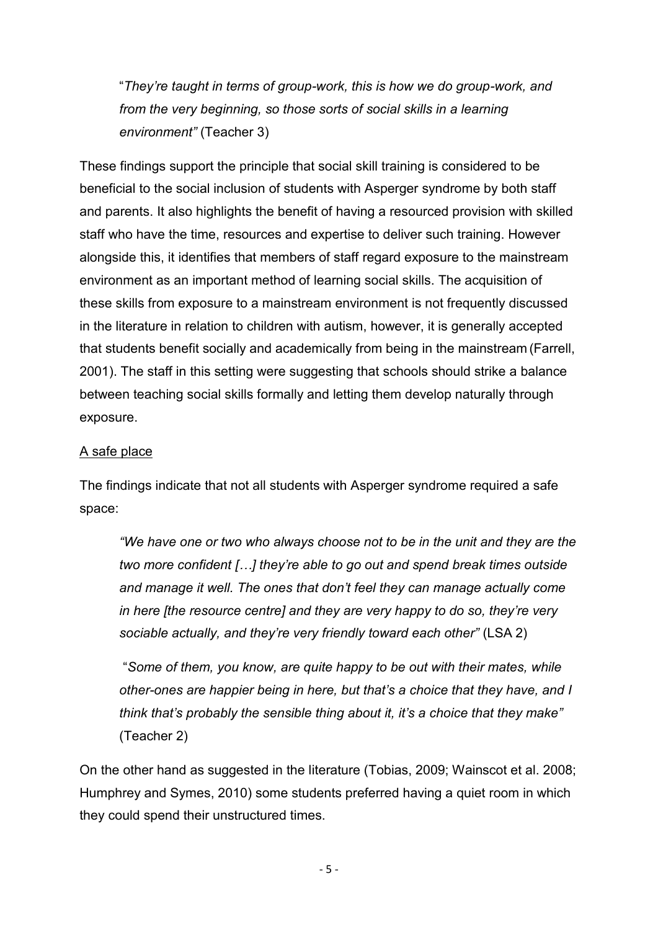"*They're taught in terms of group-work, this is how we do group-work, and from the very beginning, so those sorts of social skills in a learning environment"* (Teacher 3)

These findings support the principle that social skill training is considered to be beneficial to the social inclusion of students with Asperger syndrome by both staff and parents. It also highlights the benefit of having a resourced provision with skilled staff who have the time, resources and expertise to deliver such training. However alongside this, it identifies that members of staff regard exposure to the mainstream environment as an important method of learning social skills. The acquisition of these skills from exposure to a mainstream environment is not frequently discussed in the literature in relation to children with autism, however, it is generally accepted that students benefit socially and academically from being in the mainstream (Farrell, 2001). The staff in this setting were suggesting that schools should strike a balance between teaching social skills formally and letting them develop naturally through exposure.

#### A safe place

The findings indicate that not all students with Asperger syndrome required a safe space:

*"We have one or two who always choose not to be in the unit and they are the two more confident […] they're able to go out and spend break times outside and manage it well. The ones that don't feel they can manage actually come in here [the resource centre] and they are very happy to do so, they're very sociable actually, and they're very friendly toward each other"* (LSA 2)

"*Some of them, you know, are quite happy to be out with their mates, while other-ones are happier being in here, but that's a choice that they have, and I think that's probably the sensible thing about it, it's a choice that they make"*  (Teacher 2)

On the other hand as suggested in the literature (Tobias, 2009; Wainscot et al. 2008; Humphrey and Symes, 2010) some students preferred having a quiet room in which they could spend their unstructured times.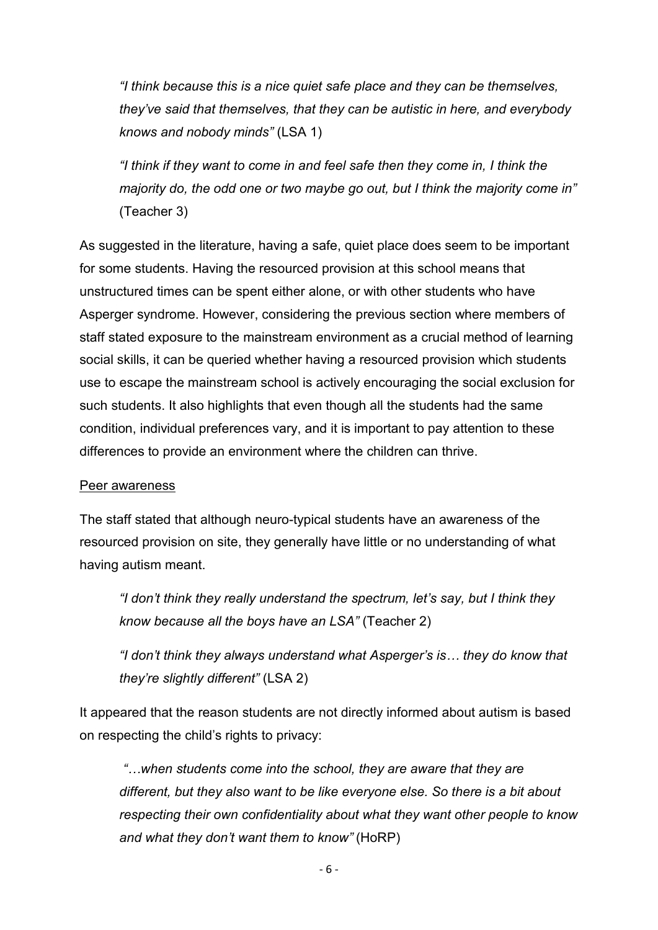*"I think because this is a nice quiet safe place and they can be themselves, they've said that themselves, that they can be autistic in here, and everybody knows and nobody minds"* (LSA 1)

*"I think if they want to come in and feel safe then they come in, I think the majority do, the odd one or two maybe go out, but I think the majority come in"*  (Teacher 3)

As suggested in the literature, having a safe, quiet place does seem to be important for some students. Having the resourced provision at this school means that unstructured times can be spent either alone, or with other students who have Asperger syndrome. However, considering the previous section where members of staff stated exposure to the mainstream environment as a crucial method of learning social skills, it can be queried whether having a resourced provision which students use to escape the mainstream school is actively encouraging the social exclusion for such students. It also highlights that even though all the students had the same condition, individual preferences vary, and it is important to pay attention to these differences to provide an environment where the children can thrive.

#### Peer awareness

The staff stated that although neuro-typical students have an awareness of the resourced provision on site, they generally have little or no understanding of what having autism meant.

*"I don't think they really understand the spectrum, let's say, but I think they know because all the boys have an LSA"* (Teacher 2)

*"I don't think they always understand what Asperger's is… they do know that they're slightly different"* (LSA 2)

It appeared that the reason students are not directly informed about autism is based on respecting the child's rights to privacy:

*"…when students come into the school, they are aware that they are different, but they also want to be like everyone else. So there is a bit about respecting their own confidentiality about what they want other people to know and what they don't want them to know"* (HoRP)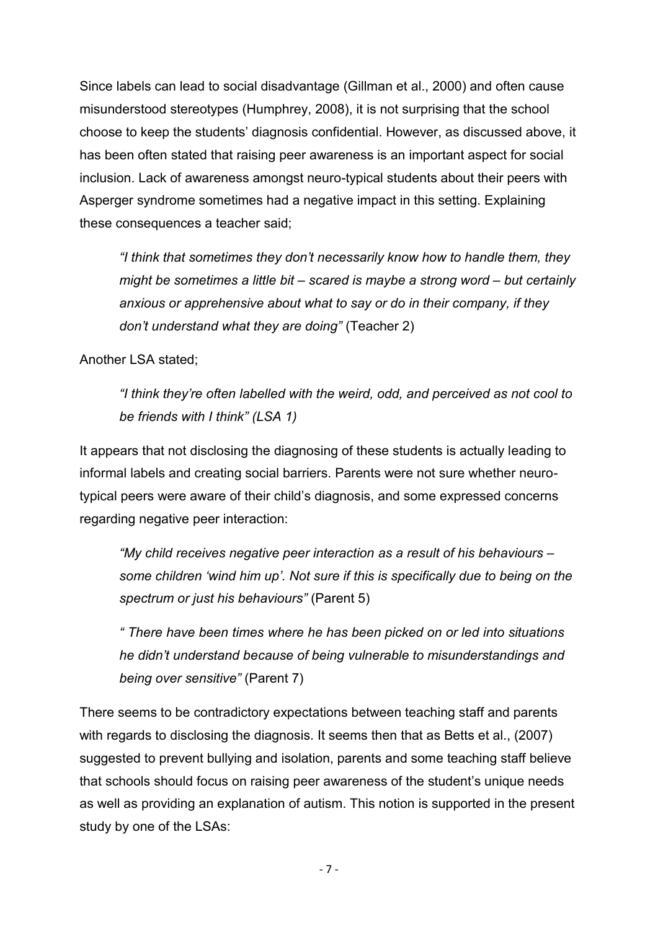Since labels can lead to social disadvantage (Gillman et al., 2000) and often cause misunderstood stereotypes (Humphrey, 2008), it is not surprising that the school choose to keep the students' diagnosis confidential. However, as discussed above, it has been often stated that raising peer awareness is an important aspect for social inclusion. Lack of awareness amongst neuro-typical students about their peers with Asperger syndrome sometimes had a negative impact in this setting. Explaining these consequences a teacher said;

*"I think that sometimes they don't necessarily know how to handle them, they might be sometimes a little bit – scared is maybe a strong word – but certainly anxious or apprehensive about what to say or do in their company, if they don't understand what they are doing"* (Teacher 2)

Another LSA stated;

*"I think they're often labelled with the weird, odd, and perceived as not cool to be friends with I think" (LSA 1)*

It appears that not disclosing the diagnosing of these students is actually leading to informal labels and creating social barriers. Parents were not sure whether neurotypical peers were aware of their child's diagnosis, and some expressed concerns regarding negative peer interaction:

*"My child receives negative peer interaction as a result of his behaviours – some children 'wind him up'. Not sure if this is specifically due to being on the spectrum or just his behaviours"* (Parent 5)

*" There have been times where he has been picked on or led into situations he didn't understand because of being vulnerable to misunderstandings and being over sensitive"* (Parent 7)

There seems to be contradictory expectations between teaching staff and parents with regards to disclosing the diagnosis. It seems then that as Betts et al., (2007) suggested to prevent bullying and isolation, parents and some teaching staff believe that schools should focus on raising peer awareness of the student's unique needs as well as providing an explanation of autism. This notion is supported in the present study by one of the LSAs: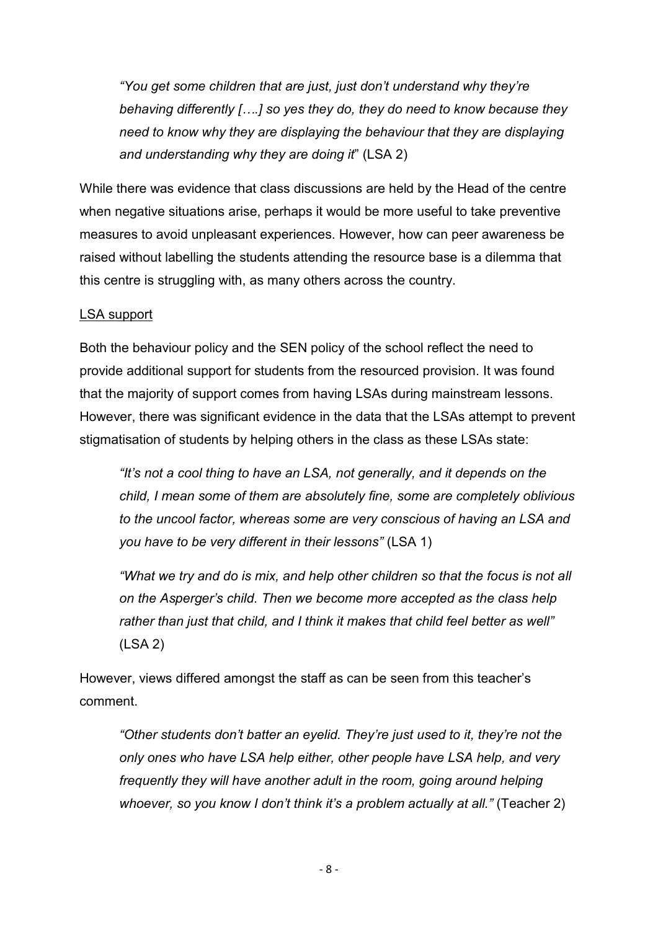*"You get some children that are just, just don't understand why they're behaving differently [….] so yes they do, they do need to know because they need to know why they are displaying the behaviour that they are displaying and understanding why they are doing it*" (LSA 2)

While there was evidence that class discussions are held by the Head of the centre when negative situations arise, perhaps it would be more useful to take preventive measures to avoid unpleasant experiences. However, how can peer awareness be raised without labelling the students attending the resource base is a dilemma that this centre is struggling with, as many others across the country.

# LSA support

Both the behaviour policy and the SEN policy of the school reflect the need to provide additional support for students from the resourced provision. It was found that the majority of support comes from having LSAs during mainstream lessons*.*  However, there was significant evidence in the data that the LSAs attempt to prevent stigmatisation of students by helping others in the class as these LSAs state:

*"It's not a cool thing to have an LSA, not generally, and it depends on the child, I mean some of them are absolutely fine, some are completely oblivious to the uncool factor, whereas some are very conscious of having an LSA and you have to be very different in their lessons"* (LSA 1)

*"What we try and do is mix, and help other children so that the focus is not all on the Asperger's child. Then we become more accepted as the class help rather than just that child, and I think it makes that child feel better as well"*  (LSA 2)

However, views differed amongst the staff as can be seen from this teacher's comment.

*"Other students don't batter an eyelid. They're just used to it, they're not the only ones who have LSA help either, other people have LSA help, and very frequently they will have another adult in the room, going around helping whoever, so you know I don't think it's a problem actually at all."* (Teacher 2)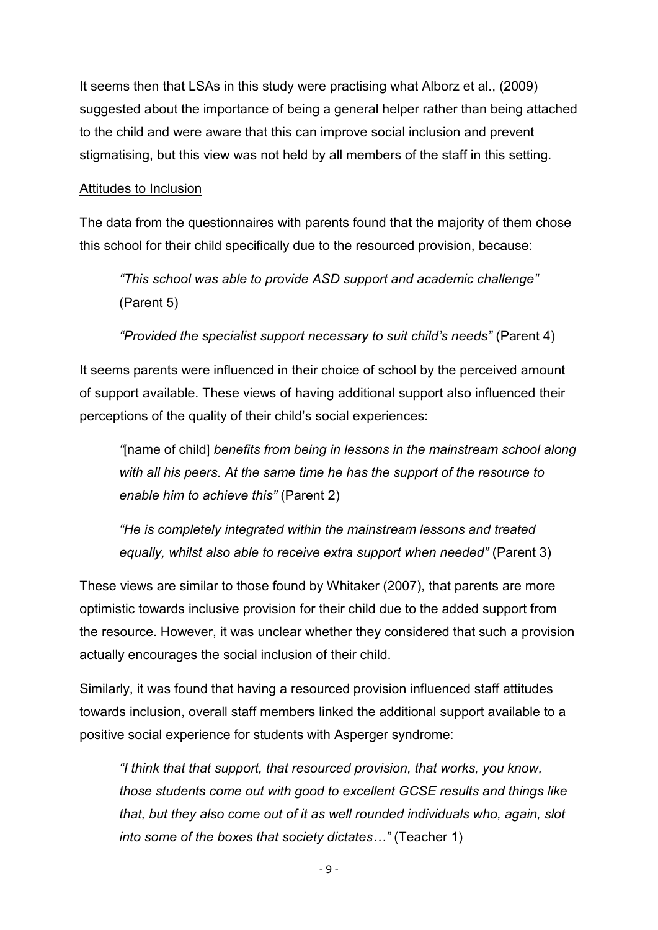It seems then that LSAs in this study were practising what Alborz et al., (2009) suggested about the importance of being a general helper rather than being attached to the child and were aware that this can improve social inclusion and prevent stigmatising, but this view was not held by all members of the staff in this setting.

#### Attitudes to Inclusion

The data from the questionnaires with parents found that the majority of them chose this school for their child specifically due to the resourced provision, because:

*"This school was able to provide ASD support and academic challenge"* (Parent 5)

*"Provided the specialist support necessary to suit child's needs"* (Parent 4)

It seems parents were influenced in their choice of school by the perceived amount of support available. These views of having additional support also influenced their perceptions of the quality of their child's social experiences:

*"*[name of child] *benefits from being in lessons in the mainstream school along with all his peers. At the same time he has the support of the resource to enable him to achieve this"* (Parent 2)

*"He is completely integrated within the mainstream lessons and treated equally, whilst also able to receive extra support when needed"* (Parent 3)

These views are similar to those found by Whitaker (2007), that parents are more optimistic towards inclusive provision for their child due to the added support from the resource. However, it was unclear whether they considered that such a provision actually encourages the social inclusion of their child.

Similarly, it was found that having a resourced provision influenced staff attitudes towards inclusion, overall staff members linked the additional support available to a positive social experience for students with Asperger syndrome:

*"I think that that support, that resourced provision, that works, you know, those students come out with good to excellent GCSE results and things like that, but they also come out of it as well rounded individuals who, again, slot into some of the boxes that society dictates…"* (Teacher 1)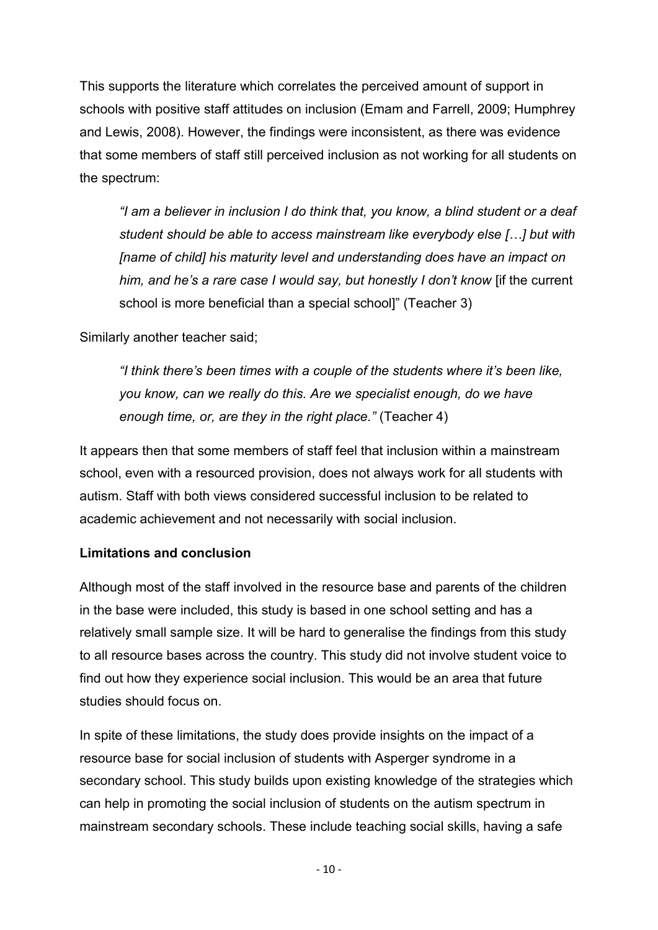This supports the literature which correlates the perceived amount of support in schools with positive staff attitudes on inclusion (Emam and Farrell, 2009; Humphrey and Lewis, 2008). However, the findings were inconsistent, as there was evidence that some members of staff still perceived inclusion as not working for all students on the spectrum:

*"I am a believer in inclusion I do think that, you know, a blind student or a deaf student should be able to access mainstream like everybody else […] but with [name of child] his maturity level and understanding does have an impact on him, and he's a rare case I would say, but honestly I don't know* [if the current school is more beneficial than a special school]" (Teacher 3)

Similarly another teacher said;

*"I think there's been times with a couple of the students where it's been like, you know, can we really do this. Are we specialist enough, do we have enough time, or, are they in the right place."* (Teacher 4)

It appears then that some members of staff feel that inclusion within a mainstream school, even with a resourced provision, does not always work for all students with autism. Staff with both views considered successful inclusion to be related to academic achievement and not necessarily with social inclusion.

# **Limitations and conclusion**

Although most of the staff involved in the resource base and parents of the children in the base were included, this study is based in one school setting and has a relatively small sample size. It will be hard to generalise the findings from this study to all resource bases across the country. This study did not involve student voice to find out how they experience social inclusion. This would be an area that future studies should focus on.

In spite of these limitations, the study does provide insights on the impact of a resource base for social inclusion of students with Asperger syndrome in a secondary school. This study builds upon existing knowledge of the strategies which can help in promoting the social inclusion of students on the autism spectrum in mainstream secondary schools. These include teaching social skills, having a safe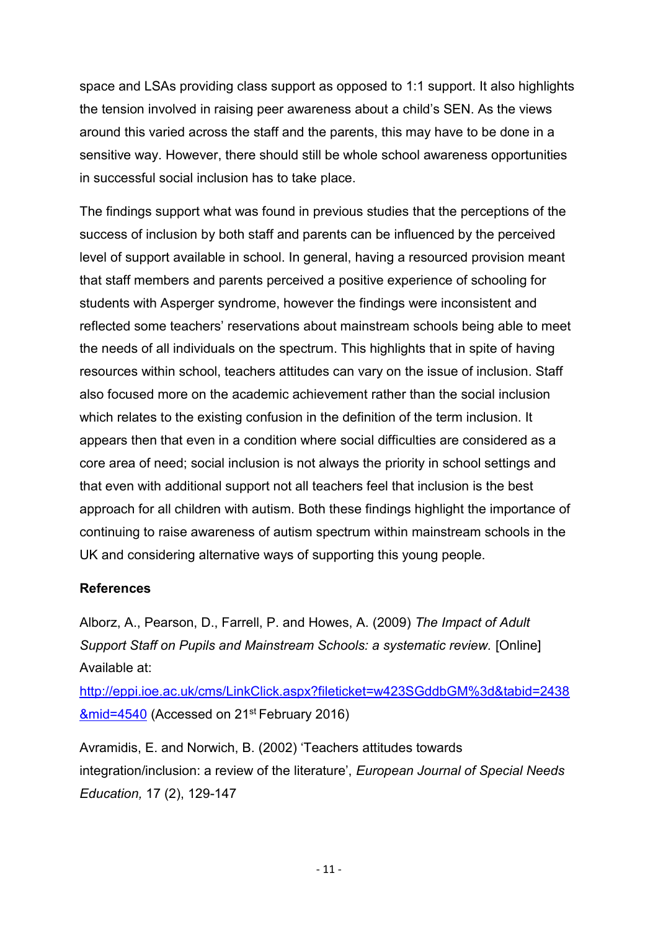space and LSAs providing class support as opposed to 1:1 support. It also highlights the tension involved in raising peer awareness about a child's SEN. As the views around this varied across the staff and the parents, this may have to be done in a sensitive way. However, there should still be whole school awareness opportunities in successful social inclusion has to take place.

The findings support what was found in previous studies that the perceptions of the success of inclusion by both staff and parents can be influenced by the perceived level of support available in school. In general, having a resourced provision meant that staff members and parents perceived a positive experience of schooling for students with Asperger syndrome, however the findings were inconsistent and reflected some teachers' reservations about mainstream schools being able to meet the needs of all individuals on the spectrum. This highlights that in spite of having resources within school, teachers attitudes can vary on the issue of inclusion. Staff also focused more on the academic achievement rather than the social inclusion which relates to the existing confusion in the definition of the term inclusion. It appears then that even in a condition where social difficulties are considered as a core area of need; social inclusion is not always the priority in school settings and that even with additional support not all teachers feel that inclusion is the best approach for all children with autism. Both these findings highlight the importance of continuing to raise awareness of autism spectrum within mainstream schools in the UK and considering alternative ways of supporting this young people.

# **References**

Alborz, A., Pearson, D., Farrell, P. and Howes, A. (2009) *The Impact of Adult Support Staff on Pupils and Mainstream Schools: a systematic review.* [Online] Available at:

[http://eppi.ioe.ac.uk/cms/LinkClick.aspx?fileticket=w423SGddbGM%3d&tabid=2438](http://eppi.ioe.ac.uk/cms/LinkClick.aspx?fileticket=w423SGddbGM%3d&tabid=2438&mid=4540) [&mid=4540](http://eppi.ioe.ac.uk/cms/LinkClick.aspx?fileticket=w423SGddbGM%3d&tabid=2438&mid=4540) (Accessed on 21st February 2016)

Avramidis, E. and Norwich, B. (2002) 'Teachers attitudes towards integration/inclusion: a review of the literature', *European Journal of Special Needs Education,* 17 (2), 129-147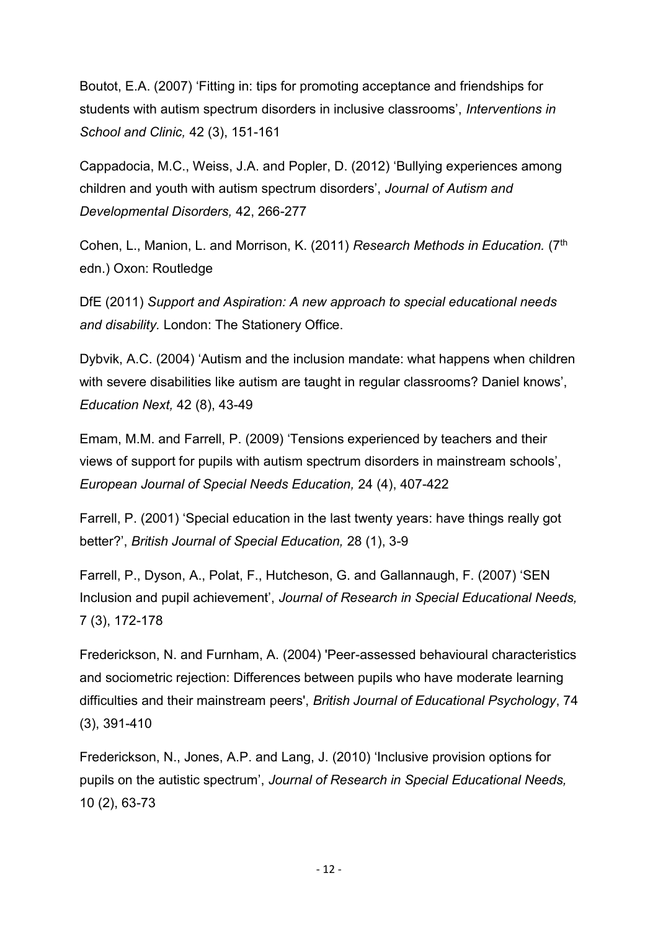Boutot, E.A. (2007) 'Fitting in: tips for promoting acceptance and friendships for students with autism spectrum disorders in inclusive classrooms', *Interventions in School and Clinic,* 42 (3), 151-161

Cappadocia, M.C., Weiss, J.A. and Popler, D. (2012) 'Bullying experiences among children and youth with autism spectrum disorders', *Journal of Autism and Developmental Disorders,* 42, 266-277

Cohen, L., Manion, L. and Morrison, K. (2011) *Research Methods in Education.* (7th edn.) Oxon: Routledge

DfE (2011) *Support and Aspiration: A new approach to special educational needs and disability.* London: The Stationery Office.

Dybvik, A.C. (2004) 'Autism and the inclusion mandate: what happens when children with severe disabilities like autism are taught in regular classrooms? Daniel knows', *Education Next,* 42 (8), 43-49

Emam, M.M. and Farrell, P. (2009) 'Tensions experienced by teachers and their views of support for pupils with autism spectrum disorders in mainstream schools', *European Journal of Special Needs Education,* 24 (4), 407-422

Farrell, P. (2001) 'Special education in the last twenty years: have things really got better?', *British Journal of Special Education,* 28 (1), 3-9

Farrell, P., Dyson, A., Polat, F., Hutcheson, G. and Gallannaugh, F. (2007) 'SEN Inclusion and pupil achievement', *Journal of Research in Special Educational Needs,*  7 (3), 172-178

Frederickson, N. and Furnham, A. (2004) 'Peer-assessed behavioural characteristics and sociometric rejection: Differences between pupils who have moderate learning difficulties and their mainstream peers', *British Journal of Educational Psychology*, 74 (3), 391-410

Frederickson, N., Jones, A.P. and Lang, J. (2010) 'Inclusive provision options for pupils on the autistic spectrum', *Journal of Research in Special Educational Needs,*  10 (2), 63-73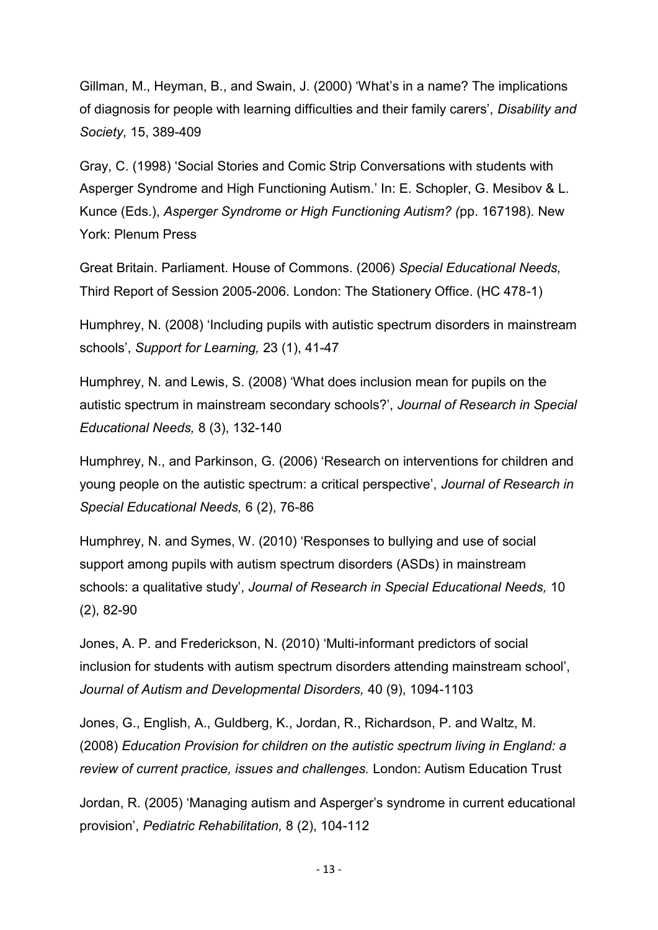Gillman, M., Heyman, B., and Swain, J. (2000) 'What's in a name? The implications of diagnosis for people with learning difficulties and their family carers', *Disability and Society,* 15, 389-409

Gray, C. (1998) 'Social Stories and Comic Strip Conversations with students with Asperger Syndrome and High Functioning Autism.' In: E. Schopler, G. Mesibov & L. Kunce (Eds.), *Asperger Syndrome or High Functioning Autism? (*pp. 167198). New York: Plenum Press

Great Britain. Parliament. House of Commons. (2006) *Special Educational Needs,* Third Report of Session 2005-2006. London: The Stationery Office. (HC 478-1)

Humphrey, N. (2008) 'Including pupils with autistic spectrum disorders in mainstream schools', *Support for Learning,* 23 (1), 41-47

Humphrey, N. and Lewis, S. (2008) 'What does inclusion mean for pupils on the autistic spectrum in mainstream secondary schools?', *Journal of Research in Special Educational Needs,* 8 (3), 132-140

Humphrey, N., and Parkinson, G. (2006) 'Research on interventions for children and young people on the autistic spectrum: a critical perspective', *Journal of Research in Special Educational Needs,* 6 (2), 76-86

Humphrey, N. and Symes, W. (2010) 'Responses to bullying and use of social support among pupils with autism spectrum disorders (ASDs) in mainstream schools: a qualitative study', *Journal of Research in Special Educational Needs,* 10 (2), 82-90

Jones, A. P. and Frederickson, N. (2010) 'Multi-informant predictors of social inclusion for students with autism spectrum disorders attending mainstream school', *Journal of Autism and Developmental Disorders,* 40 (9), 1094-1103

Jones, G., English, A., Guldberg, K., Jordan, R., Richardson, P. and Waltz, M. (2008) *Education Provision for children on the autistic spectrum living in England: a review of current practice, issues and challenges.* London: Autism Education Trust

Jordan, R. (2005) 'Managing autism and Asperger's syndrome in current educational provision', *Pediatric Rehabilitation,* 8 (2), 104-112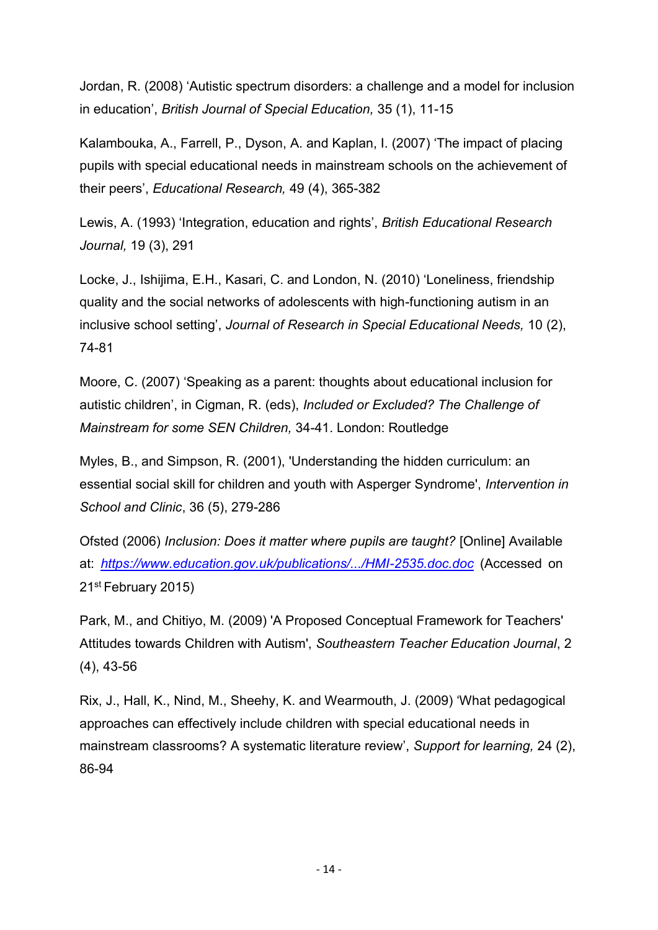Jordan, R. (2008) 'Autistic spectrum disorders: a challenge and a model for inclusion in education', *British Journal of Special Education,* 35 (1), 11-15

Kalambouka, A., Farrell, P., Dyson, A. and Kaplan, I. (2007) 'The impact of placing pupils with special educational needs in mainstream schools on the achievement of their peers', *Educational Research,* 49 (4), 365-382

Lewis, A. (1993) 'Integration, education and rights', *British Educational Research Journal,* 19 (3), 291

Locke, J., Ishijima, E.H., Kasari, C. and London, N. (2010) 'Loneliness, friendship quality and the social networks of adolescents with high-functioning autism in an inclusive school setting', *Journal of Research in Special Educational Needs,* 10 (2), 74-81

Moore, C. (2007) 'Speaking as a parent: thoughts about educational inclusion for autistic children', in Cigman, R. (eds), *Included or Excluded? The Challenge of Mainstream for some SEN Children,* 34-41. London: Routledge

Myles, B., and Simpson, R. (2001), 'Understanding the hidden curriculum: an essential social skill for children and youth with Asperger Syndrome', *Intervention in School and Clinic*, 36 (5), 279-286

Ofsted (2006) *Inclusion: Does it matter where pupils are taught?* [Online] Available at: *<https://www.education.gov.uk/publications/.../HMI-2535.doc.doc>* (Accessed on 21st February 2015)

Park, M., and Chitiyo, M. (2009) 'A Proposed Conceptual Framework for Teachers' Attitudes towards Children with Autism', *Southeastern Teacher Education Journal*, 2 (4), 43-56

Rix, J., Hall, K., Nind, M., Sheehy, K. and Wearmouth, J. (2009) 'What pedagogical approaches can effectively include children with special educational needs in mainstream classrooms? A systematic literature review', *Support for learning,* 24 (2), 86-94